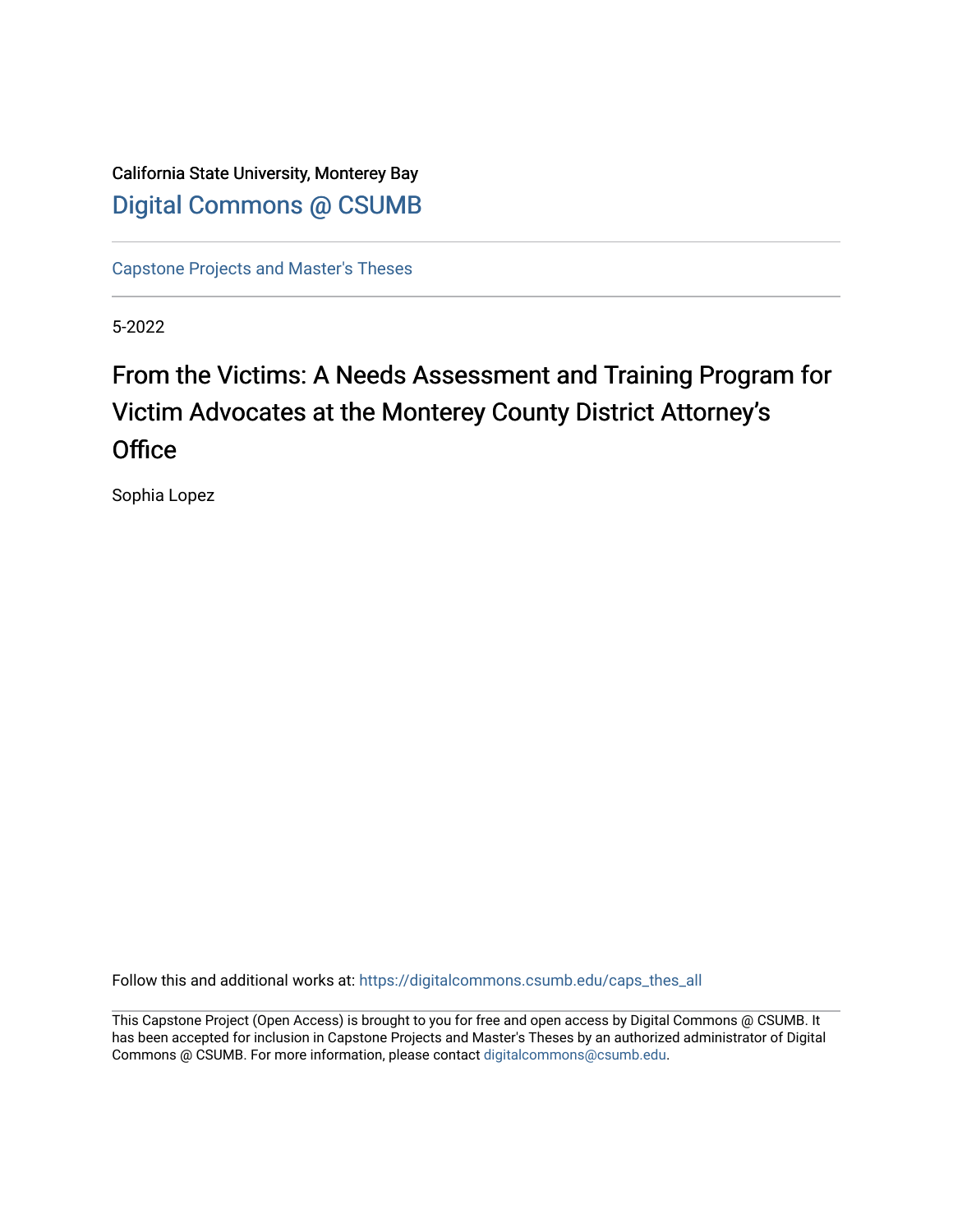California State University, Monterey Bay [Digital Commons @ CSUMB](https://digitalcommons.csumb.edu/)

[Capstone Projects and Master's Theses](https://digitalcommons.csumb.edu/caps_thes_all)

5-2022

# From the Victims: A Needs Assessment and Training Program for Victim Advocates at the Monterey County District Attorney's **Office**

Sophia Lopez

Follow this and additional works at: [https://digitalcommons.csumb.edu/caps\\_thes\\_all](https://digitalcommons.csumb.edu/caps_thes_all?utm_source=digitalcommons.csumb.edu%2Fcaps_thes_all%2F1327&utm_medium=PDF&utm_campaign=PDFCoverPages)

This Capstone Project (Open Access) is brought to you for free and open access by Digital Commons @ CSUMB. It has been accepted for inclusion in Capstone Projects and Master's Theses by an authorized administrator of Digital Commons @ CSUMB. For more information, please contact [digitalcommons@csumb.edu](mailto:digitalcommons@csumb.edu).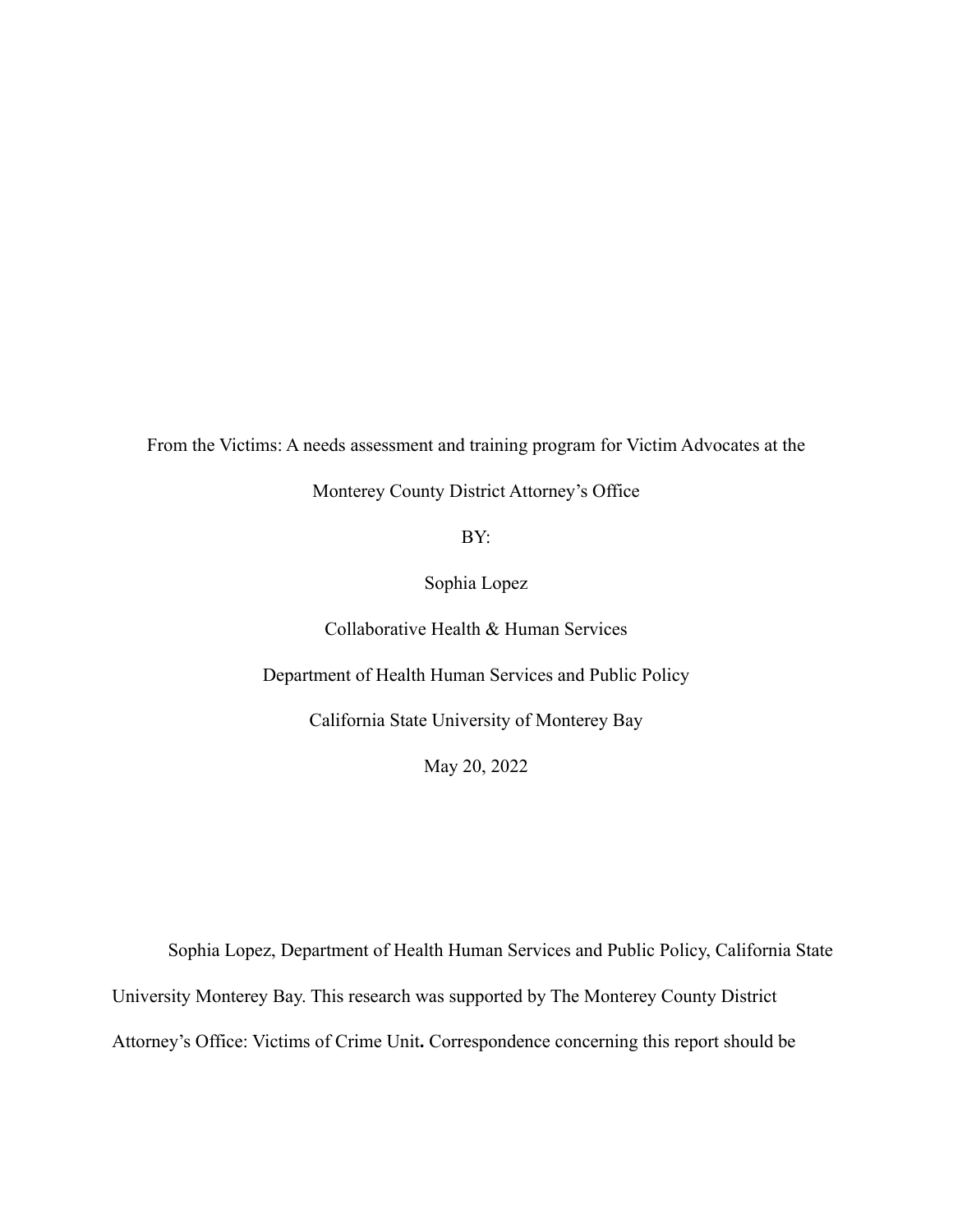From the Victims: A needs assessment and training program for Victim Advocates at the

Monterey County District Attorney's Office

BY:

Sophia Lopez

Collaborative Health & Human Services

Department of Health Human Services and Public Policy

California State University of Monterey Bay

May 20, 2022

Sophia Lopez, Department of Health Human Services and Public Policy, California State University Monterey Bay. This research was supported by The Monterey County District Attorney's Office: Victims of Crime Unit**.** Correspondence concerning this report should be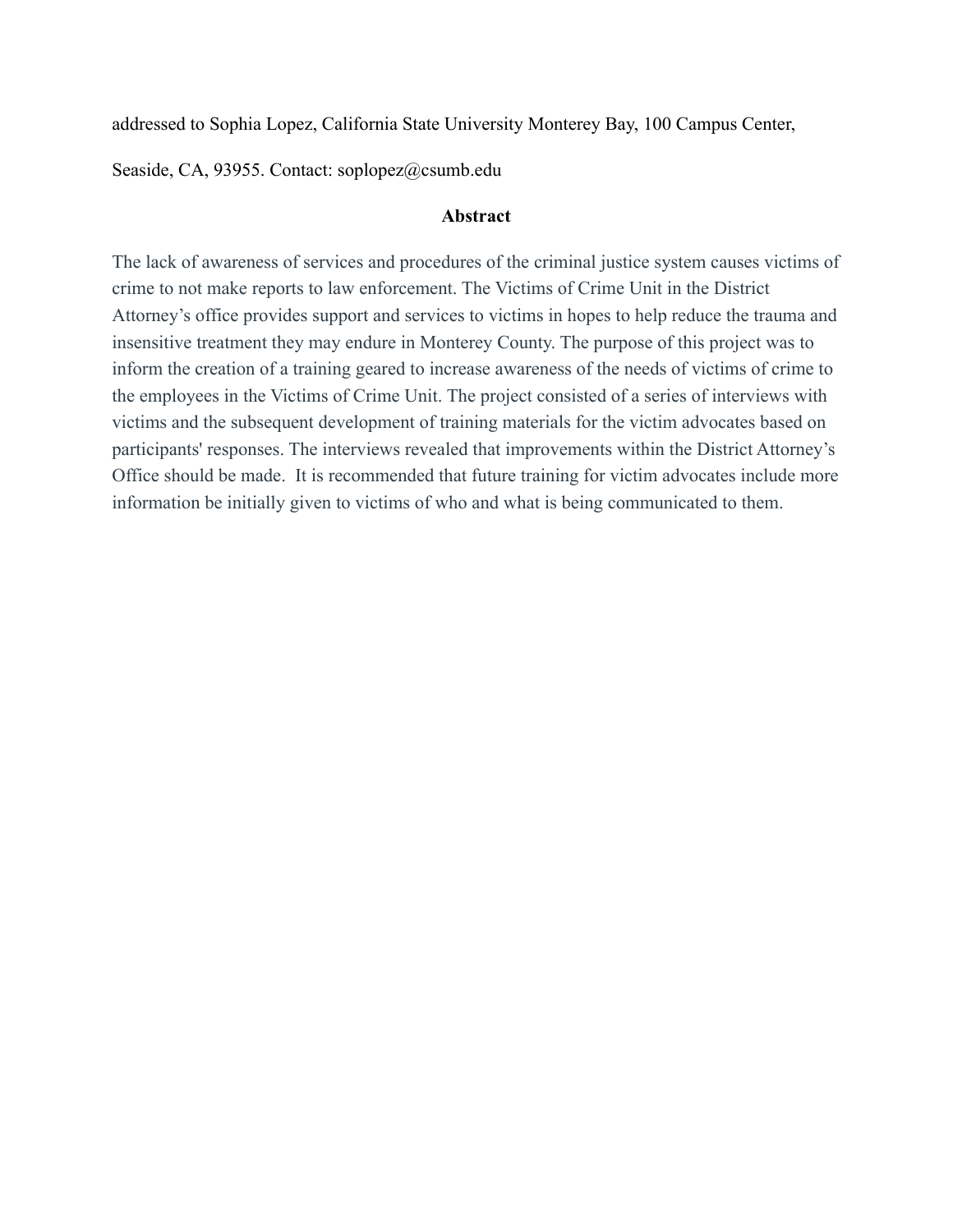addressed to Sophia Lopez, California State University Monterey Bay, 100 Campus Center,

Seaside, CA, 93955. Contact: soplopez@csumb.edu

## **Abstract**

The lack of awareness of services and procedures of the criminal justice system causes victims of crime to not make reports to law enforcement. The Victims of Crime Unit in the District Attorney's office provides support and services to victims in hopes to help reduce the trauma and insensitive treatment they may endure in Monterey County. The purpose of this project was to inform the creation of a training geared to increase awareness of the needs of victims of crime to the employees in the Victims of Crime Unit. The project consisted of a series of interviews with victims and the subsequent development of training materials for the victim advocates based on participants' responses. The interviews revealed that improvements within the District Attorney's Office should be made. It is recommended that future training for victim advocates include more information be initially given to victims of who and what is being communicated to them.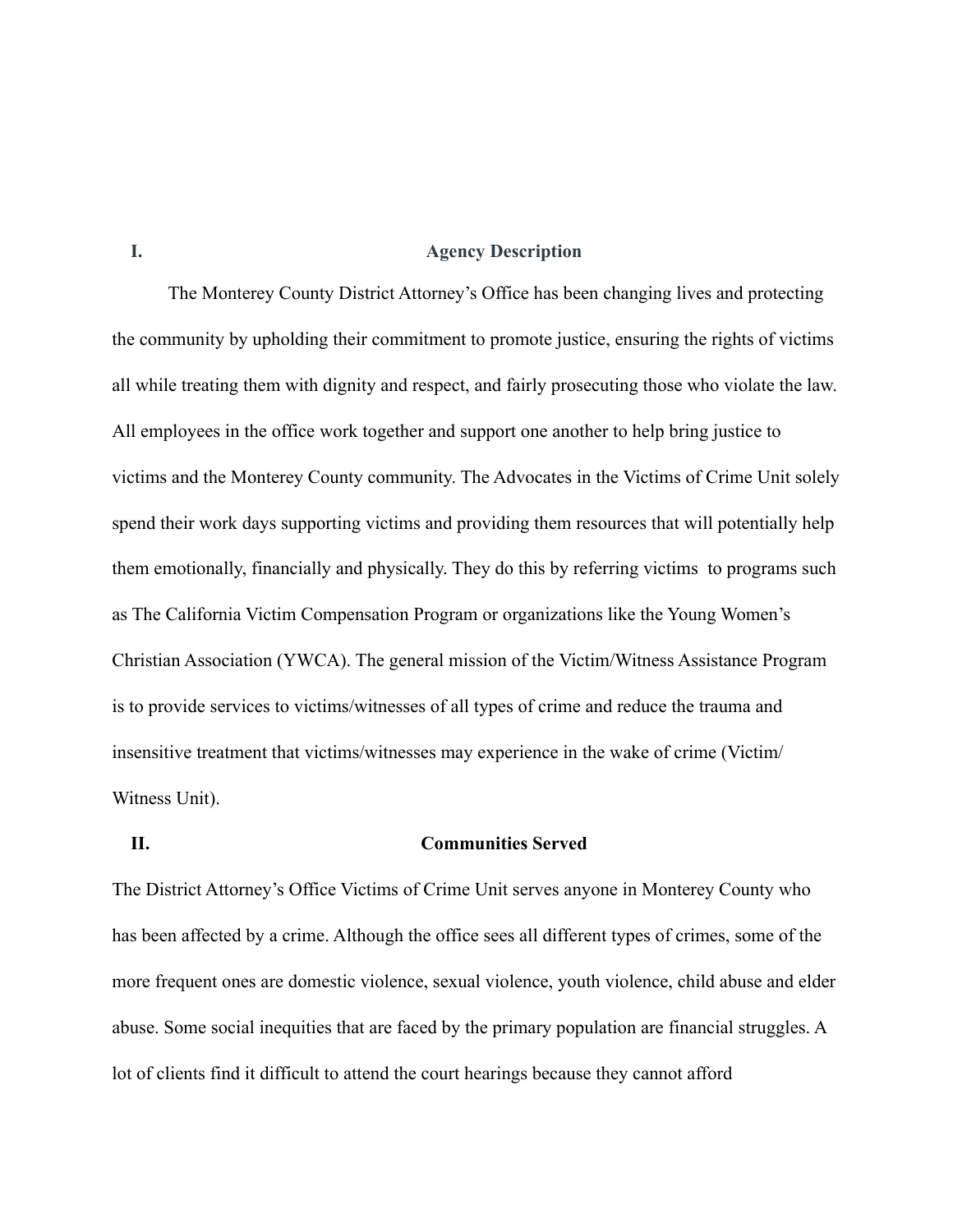### **I. Agency Description**

The Monterey County District Attorney's Office has been changing lives and protecting the community by upholding their commitment to promote justice, ensuring the rights of victims all while treating them with dignity and respect, and fairly prosecuting those who violate the law. All employees in the office work together and support one another to help bring justice to victims and the Monterey County community. The Advocates in the Victims of Crime Unit solely spend their work days supporting victims and providing them resources that will potentially help them emotionally, financially and physically. They do this by referring victims to programs such as The California Victim Compensation Program or organizations like the Young Women's Christian Association (YWCA). The general mission of the Victim/Witness Assistance Program is to provide services to victims/witnesses of all types of crime and reduce the trauma and insensitive treatment that victims/witnesses may experience in the wake of crime (Victim/ Witness Unit).

#### **II. Communities Served**

The District Attorney's Office Victims of Crime Unit serves anyone in Monterey County who has been affected by a crime. Although the office sees all different types of crimes, some of the more frequent ones are domestic violence, sexual violence, youth violence, child abuse and elder abuse. Some social inequities that are faced by the primary population are financial struggles. A lot of clients find it difficult to attend the court hearings because they cannot afford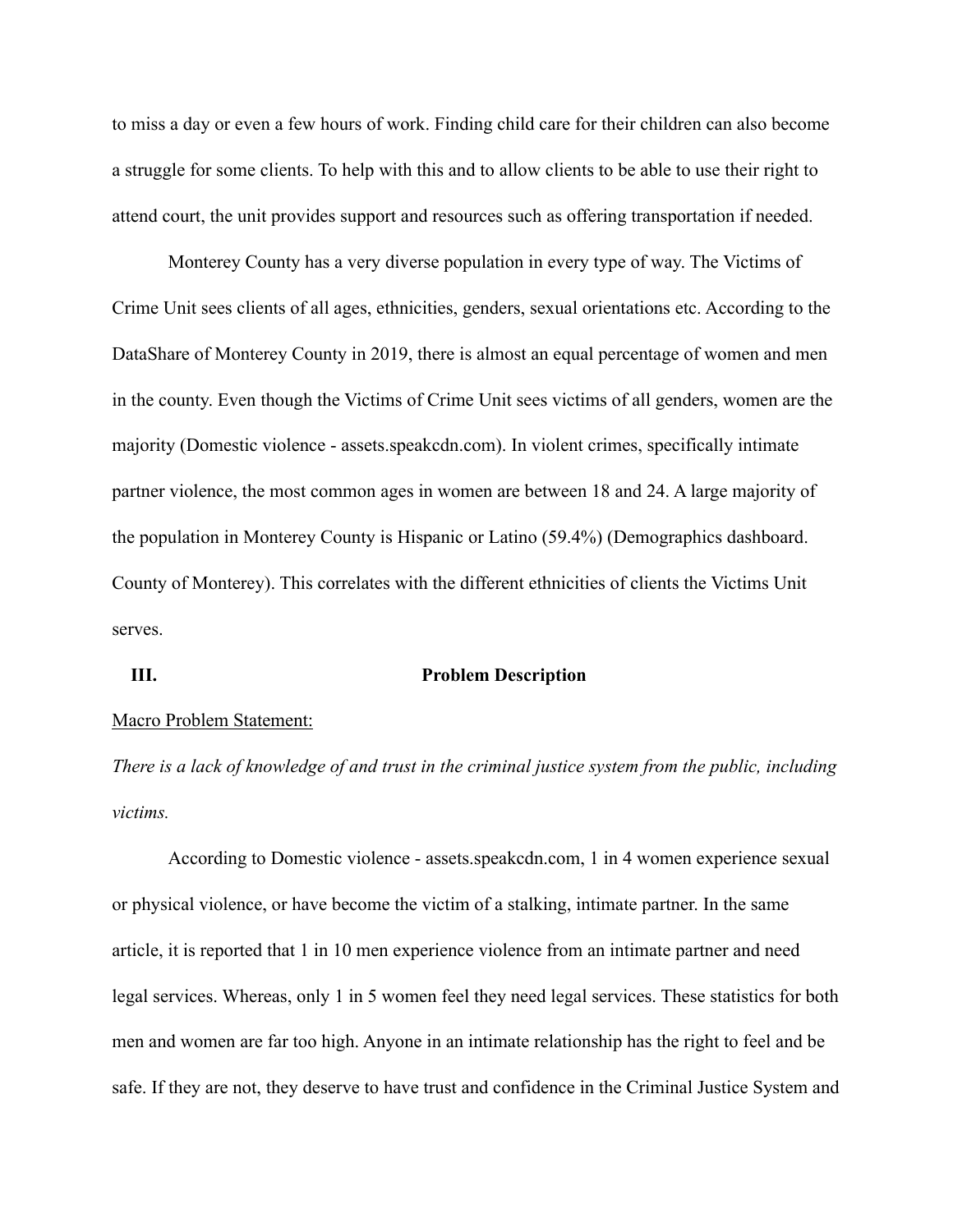to miss a day or even a few hours of work. Finding child care for their children can also become a struggle for some clients. To help with this and to allow clients to be able to use their right to attend court, the unit provides support and resources such as offering transportation if needed.

Monterey County has a very diverse population in every type of way. The Victims of Crime Unit sees clients of all ages, ethnicities, genders, sexual orientations etc. According to the DataShare of Monterey County in 2019, there is almost an equal percentage of women and men in the county. Even though the Victims of Crime Unit sees victims of all genders, women are the majority (Domestic violence - assets.speakcdn.com). In violent crimes, specifically intimate partner violence, the most common ages in women are between 18 and 24. A large majority of the population in Monterey County is Hispanic or Latino (59.4%) (Demographics dashboard. County of Monterey). This correlates with the different ethnicities of clients the Victims Unit serves.

#### **III. Problem Description**

#### Macro Problem Statement:

*There is a lack of knowledge of and trust in the criminal justice system from the public, including victims.*

According to Domestic violence - assets.speakcdn.com, 1 in 4 women experience sexual or physical violence, or have become the victim of a stalking, intimate partner. In the same article, it is reported that 1 in 10 men experience violence from an intimate partner and need legal services. Whereas, only 1 in 5 women feel they need legal services. These statistics for both men and women are far too high. Anyone in an intimate relationship has the right to feel and be safe. If they are not, they deserve to have trust and confidence in the Criminal Justice System and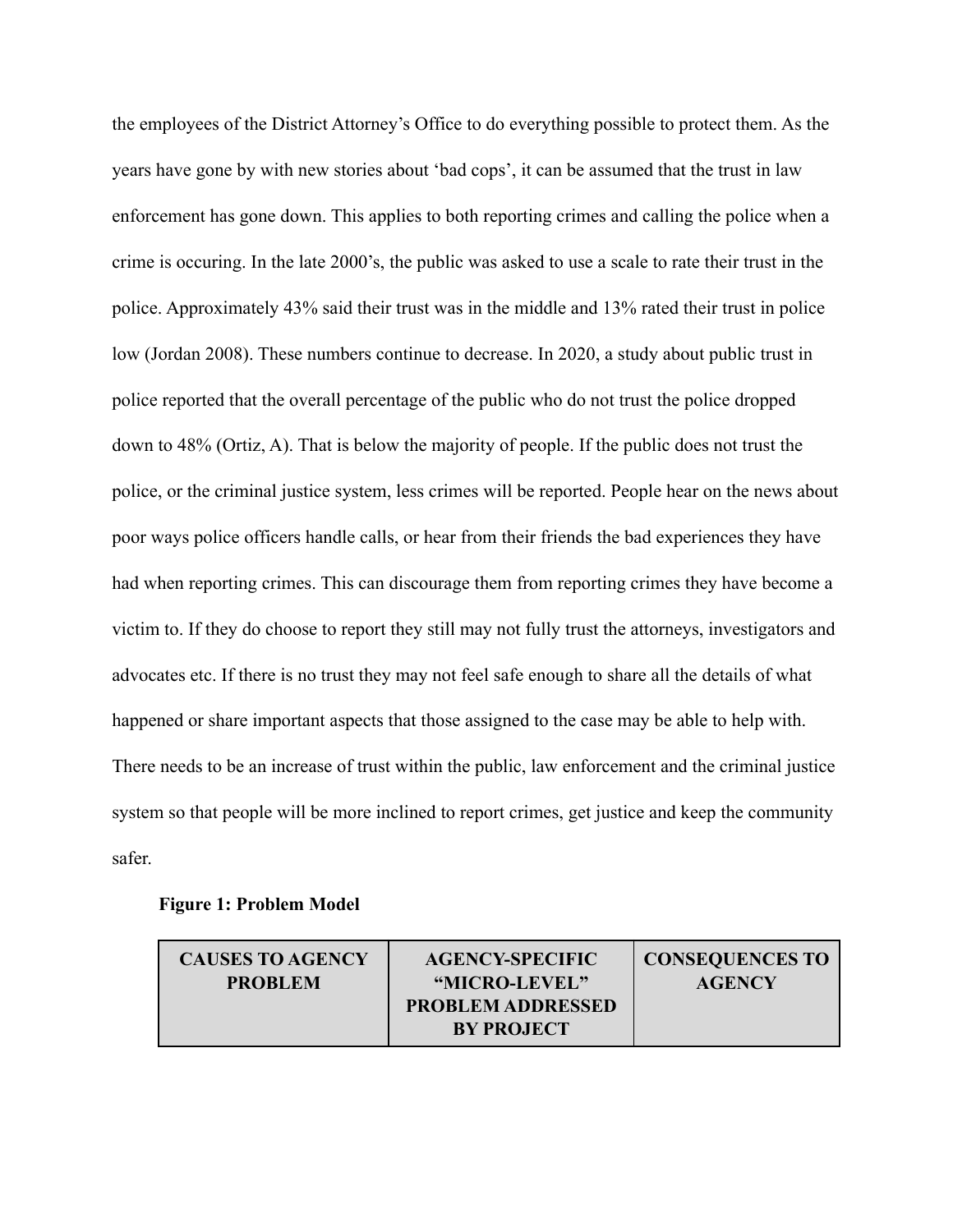the employees of the District Attorney's Office to do everything possible to protect them. As the years have gone by with new stories about 'bad cops', it can be assumed that the trust in law enforcement has gone down. This applies to both reporting crimes and calling the police when a crime is occuring. In the late 2000's, the public was asked to use a scale to rate their trust in the police. Approximately 43% said their trust was in the middle and 13% rated their trust in police low (Jordan 2008). These numbers continue to decrease. In 2020, a study about public trust in police reported that the overall percentage of the public who do not trust the police dropped down to 48% (Ortiz, A). That is below the majority of people. If the public does not trust the police, or the criminal justice system, less crimes will be reported. People hear on the news about poor ways police officers handle calls, or hear from their friends the bad experiences they have had when reporting crimes. This can discourage them from reporting crimes they have become a victim to. If they do choose to report they still may not fully trust the attorneys, investigators and advocates etc. If there is no trust they may not feel safe enough to share all the details of what happened or share important aspects that those assigned to the case may be able to help with. There needs to be an increase of trust within the public, law enforcement and the criminal justice system so that people will be more inclined to report crimes, get justice and keep the community safer.

### **Figure 1: Problem Model**

| <b>CAUSES TO AGENCY</b> | <b>AGENCY-SPECIFIC</b>                        | <b>CONSEQUENCES TO</b> |
|-------------------------|-----------------------------------------------|------------------------|
| <b>PROBLEM</b>          | "MICRO-LEVEL"                                 | <b>AGENCY</b>          |
|                         | <b>PROBLEM ADDRESSED</b><br><b>BY PROJECT</b> |                        |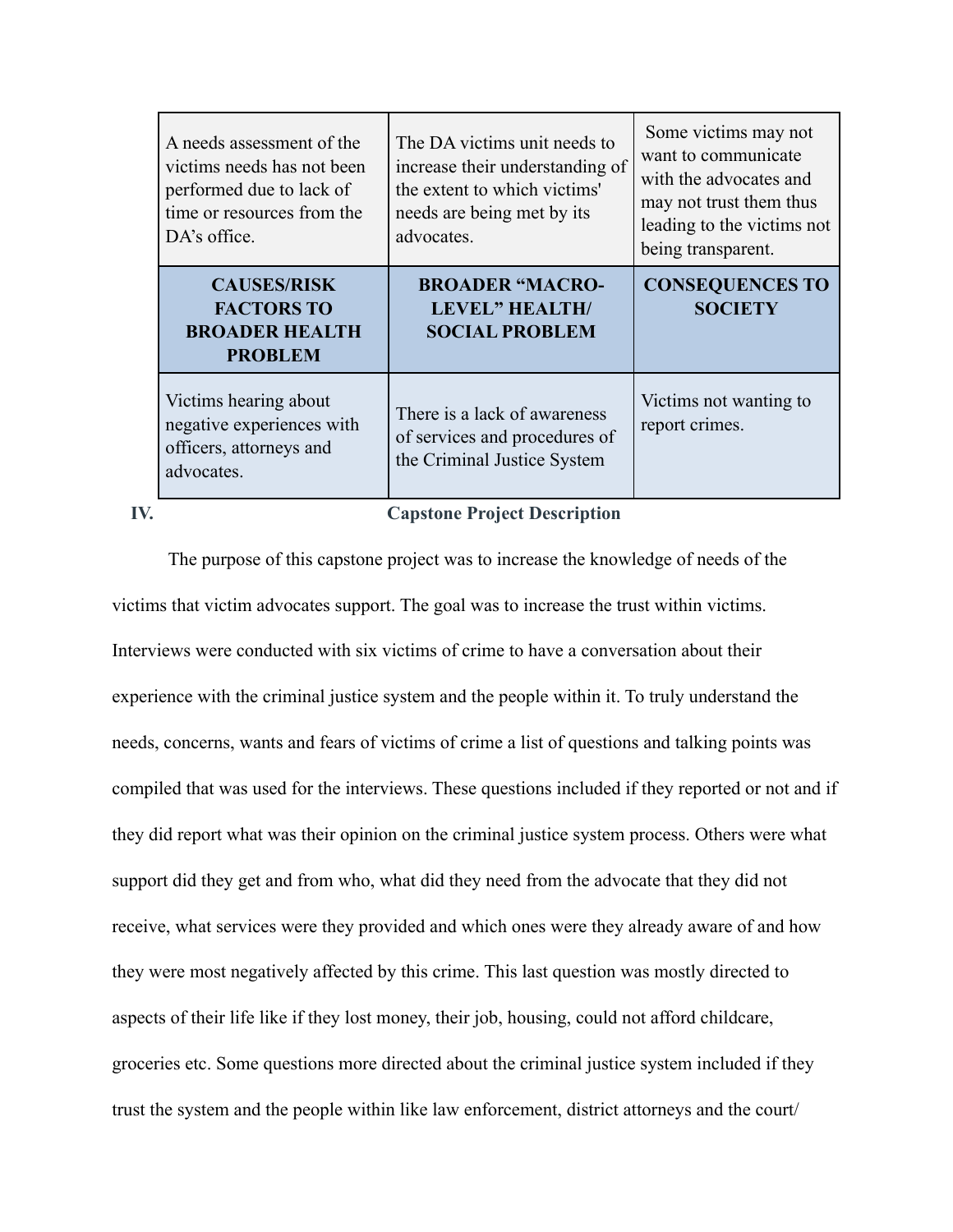| A needs assessment of the<br>victims needs has not been<br>performed due to lack of<br>time or resources from the<br>DA's office. | The DA victims unit needs to<br>increase their understanding of<br>the extent to which victims'<br>needs are being met by its<br>advocates. | Some victims may not<br>want to communicate<br>with the advocates and<br>may not trust them thus<br>leading to the victims not<br>being transparent. |
|-----------------------------------------------------------------------------------------------------------------------------------|---------------------------------------------------------------------------------------------------------------------------------------------|------------------------------------------------------------------------------------------------------------------------------------------------------|
| <b>CAUSES/RISK</b><br><b>FACTORS TO</b><br><b>BROADER HEALTH</b><br><b>PROBLEM</b>                                                | <b>BROADER "MACRO-</b><br><b>LEVEL" HEALTH/</b><br><b>SOCIAL PROBLEM</b>                                                                    | <b>CONSEQUENCES TO</b><br><b>SOCIETY</b>                                                                                                             |
| Victims hearing about<br>negative experiences with<br>officers, attorneys and<br>advocates.                                       | There is a lack of awareness<br>of services and procedures of<br>the Criminal Justice System                                                | Victims not wanting to<br>report crimes.                                                                                                             |

# **IV. Capstone Project Description**

The purpose of this capstone project was to increase the knowledge of needs of the victims that victim advocates support. The goal was to increase the trust within victims. Interviews were conducted with six victims of crime to have a conversation about their experience with the criminal justice system and the people within it. To truly understand the needs, concerns, wants and fears of victims of crime a list of questions and talking points was compiled that was used for the interviews. These questions included if they reported or not and if they did report what was their opinion on the criminal justice system process. Others were what support did they get and from who, what did they need from the advocate that they did not receive, what services were they provided and which ones were they already aware of and how they were most negatively affected by this crime. This last question was mostly directed to aspects of their life like if they lost money, their job, housing, could not afford childcare, groceries etc. Some questions more directed about the criminal justice system included if they trust the system and the people within like law enforcement, district attorneys and the court/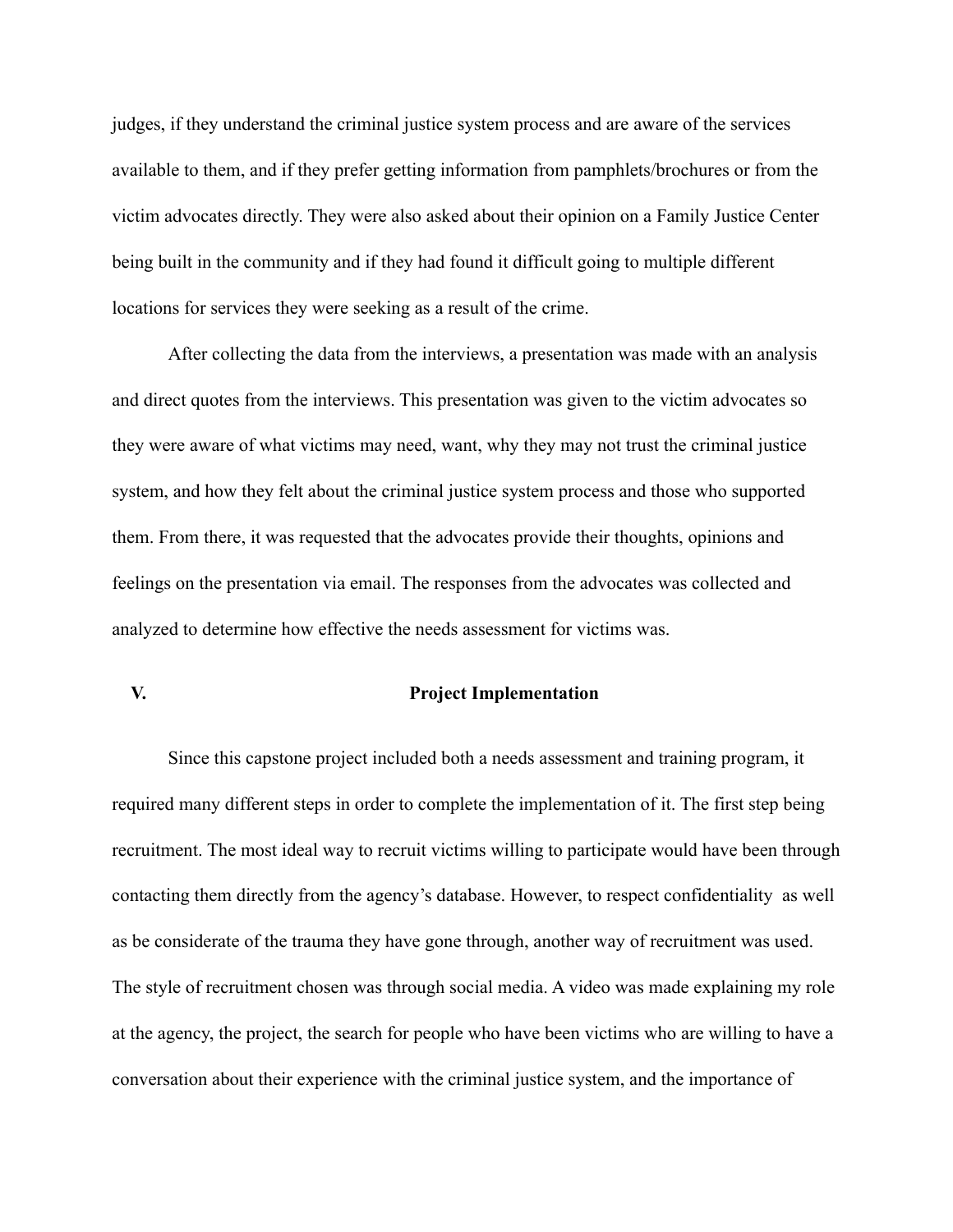judges, if they understand the criminal justice system process and are aware of the services available to them, and if they prefer getting information from pamphlets/brochures or from the victim advocates directly. They were also asked about their opinion on a Family Justice Center being built in the community and if they had found it difficult going to multiple different locations for services they were seeking as a result of the crime.

After collecting the data from the interviews, a presentation was made with an analysis and direct quotes from the interviews. This presentation was given to the victim advocates so they were aware of what victims may need, want, why they may not trust the criminal justice system, and how they felt about the criminal justice system process and those who supported them. From there, it was requested that the advocates provide their thoughts, opinions and feelings on the presentation via email. The responses from the advocates was collected and analyzed to determine how effective the needs assessment for victims was.

#### **V. Project Implementation**

Since this capstone project included both a needs assessment and training program, it required many different steps in order to complete the implementation of it. The first step being recruitment. The most ideal way to recruit victims willing to participate would have been through contacting them directly from the agency's database. However, to respect confidentiality as well as be considerate of the trauma they have gone through, another way of recruitment was used. The style of recruitment chosen was through social media. A video was made explaining my role at the agency, the project, the search for people who have been victims who are willing to have a conversation about their experience with the criminal justice system, and the importance of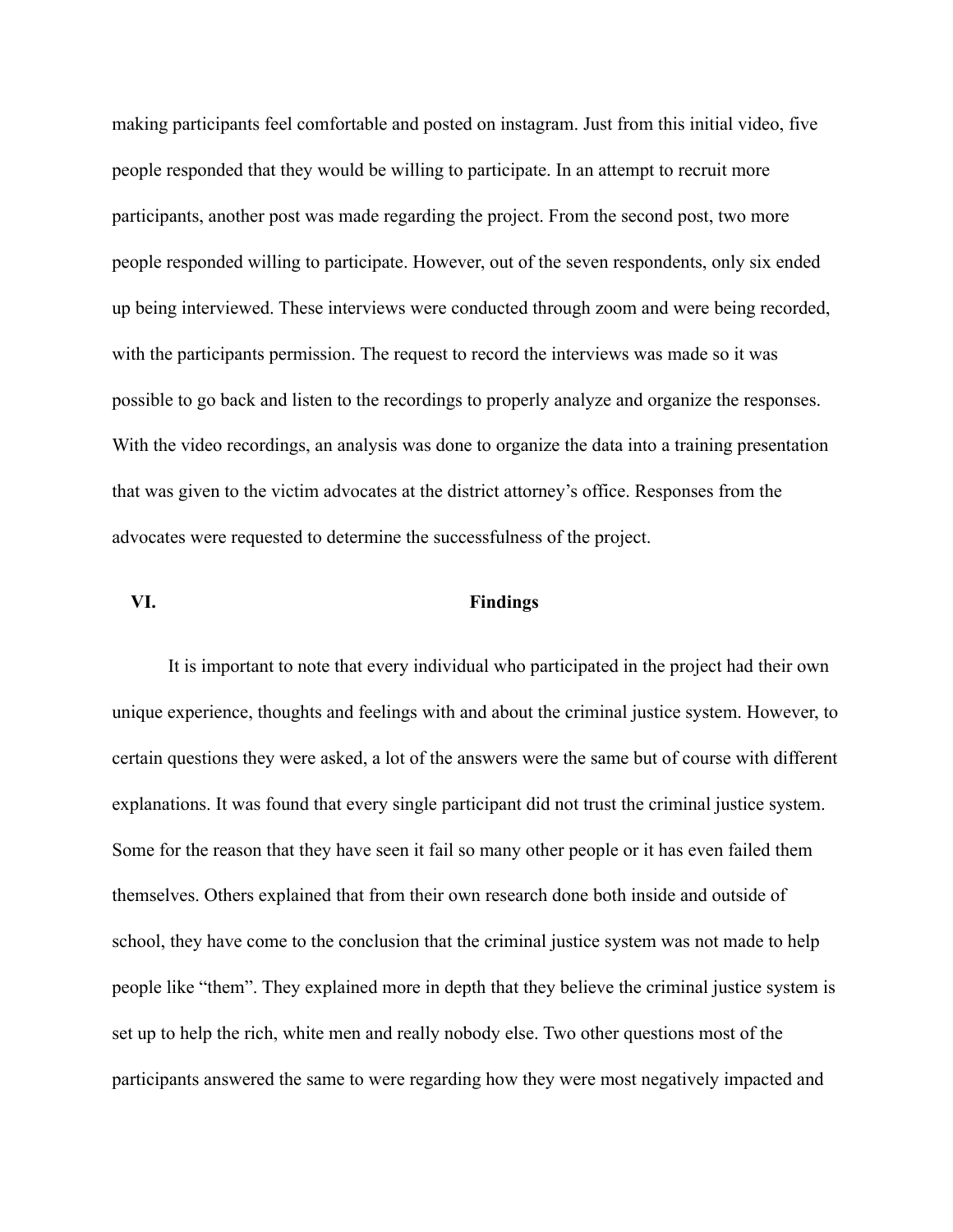making participants feel comfortable and posted on instagram. Just from this initial video, five people responded that they would be willing to participate. In an attempt to recruit more participants, another post was made regarding the project. From the second post, two more people responded willing to participate. However, out of the seven respondents, only six ended up being interviewed. These interviews were conducted through zoom and were being recorded, with the participants permission. The request to record the interviews was made so it was possible to go back and listen to the recordings to properly analyze and organize the responses. With the video recordings, an analysis was done to organize the data into a training presentation that was given to the victim advocates at the district attorney's office. Responses from the advocates were requested to determine the successfulness of the project.

### **VI. Findings**

It is important to note that every individual who participated in the project had their own unique experience, thoughts and feelings with and about the criminal justice system. However, to certain questions they were asked, a lot of the answers were the same but of course with different explanations. It was found that every single participant did not trust the criminal justice system. Some for the reason that they have seen it fail so many other people or it has even failed them themselves. Others explained that from their own research done both inside and outside of school, they have come to the conclusion that the criminal justice system was not made to help people like "them". They explained more in depth that they believe the criminal justice system is set up to help the rich, white men and really nobody else. Two other questions most of the participants answered the same to were regarding how they were most negatively impacted and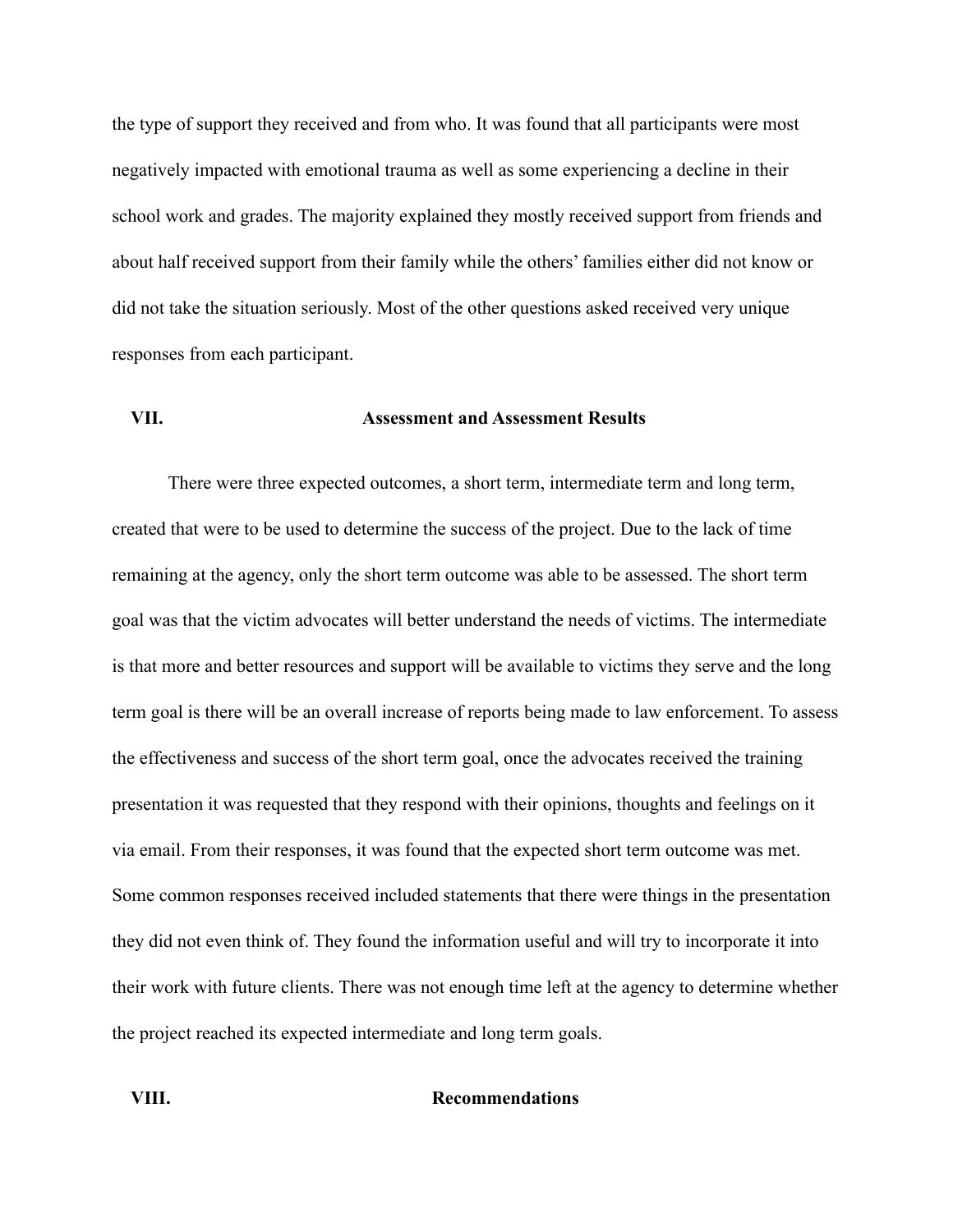the type of support they received and from who. It was found that all participants were most negatively impacted with emotional trauma as well as some experiencing a decline in their school work and grades. The majority explained they mostly received support from friends and about half received support from their family while the others' families either did not know or did not take the situation seriously. Most of the other questions asked received very unique responses from each participant.

### **VII. Assessment and Assessment Results**

There were three expected outcomes, a short term, intermediate term and long term, created that were to be used to determine the success of the project. Due to the lack of time remaining at the agency, only the short term outcome was able to be assessed. The short term goal was that the victim advocates will better understand the needs of victims. The intermediate is that more and better resources and support will be available to victims they serve and the long term goal is there will be an overall increase of reports being made to law enforcement. To assess the effectiveness and success of the short term goal, once the advocates received the training presentation it was requested that they respond with their opinions, thoughts and feelings on it via email. From their responses, it was found that the expected short term outcome was met. Some common responses received included statements that there were things in the presentation they did not even think of. They found the information useful and will try to incorporate it into their work with future clients. There was not enough time left at the agency to determine whether the project reached its expected intermediate and long term goals.

### **VIII. Recommendations**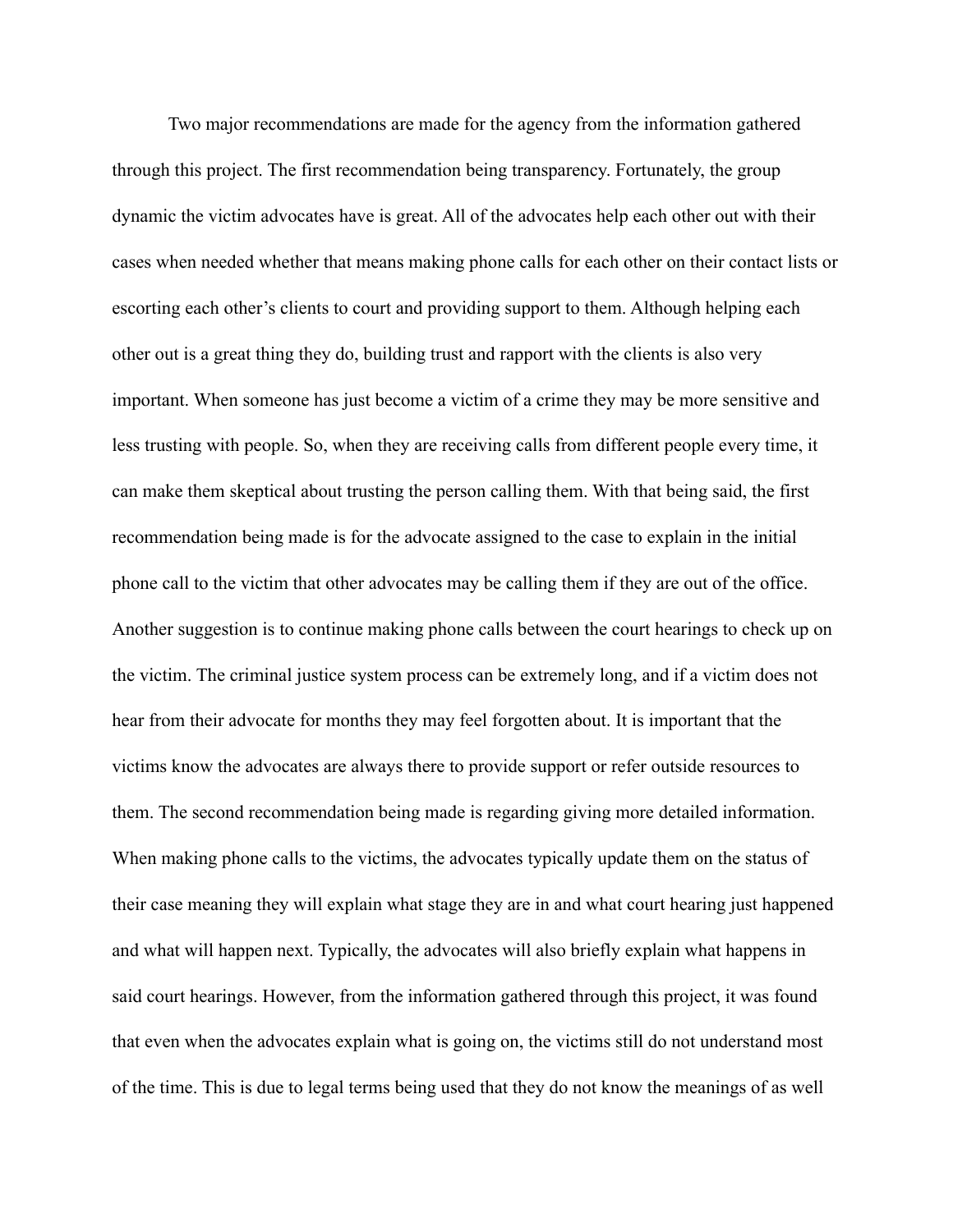Two major recommendations are made for the agency from the information gathered through this project. The first recommendation being transparency. Fortunately, the group dynamic the victim advocates have is great. All of the advocates help each other out with their cases when needed whether that means making phone calls for each other on their contact lists or escorting each other's clients to court and providing support to them. Although helping each other out is a great thing they do, building trust and rapport with the clients is also very important. When someone has just become a victim of a crime they may be more sensitive and less trusting with people. So, when they are receiving calls from different people every time, it can make them skeptical about trusting the person calling them. With that being said, the first recommendation being made is for the advocate assigned to the case to explain in the initial phone call to the victim that other advocates may be calling them if they are out of the office. Another suggestion is to continue making phone calls between the court hearings to check up on the victim. The criminal justice system process can be extremely long, and if a victim does not hear from their advocate for months they may feel forgotten about. It is important that the victims know the advocates are always there to provide support or refer outside resources to them. The second recommendation being made is regarding giving more detailed information. When making phone calls to the victims, the advocates typically update them on the status of their case meaning they will explain what stage they are in and what court hearing just happened and what will happen next. Typically, the advocates will also briefly explain what happens in said court hearings. However, from the information gathered through this project, it was found that even when the advocates explain what is going on, the victims still do not understand most of the time. This is due to legal terms being used that they do not know the meanings of as well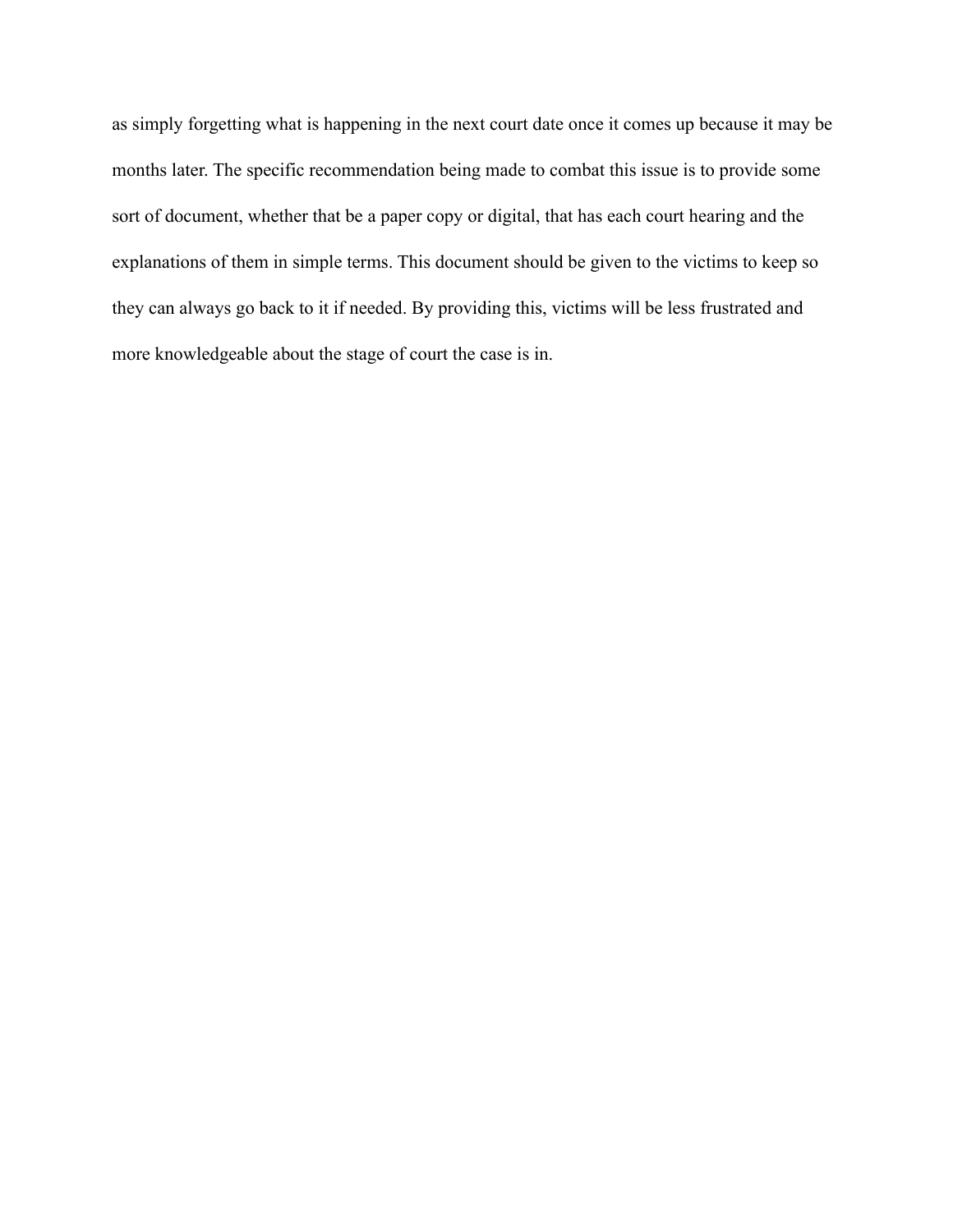as simply forgetting what is happening in the next court date once it comes up because it may be months later. The specific recommendation being made to combat this issue is to provide some sort of document, whether that be a paper copy or digital, that has each court hearing and the explanations of them in simple terms. This document should be given to the victims to keep so they can always go back to it if needed. By providing this, victims will be less frustrated and more knowledgeable about the stage of court the case is in.